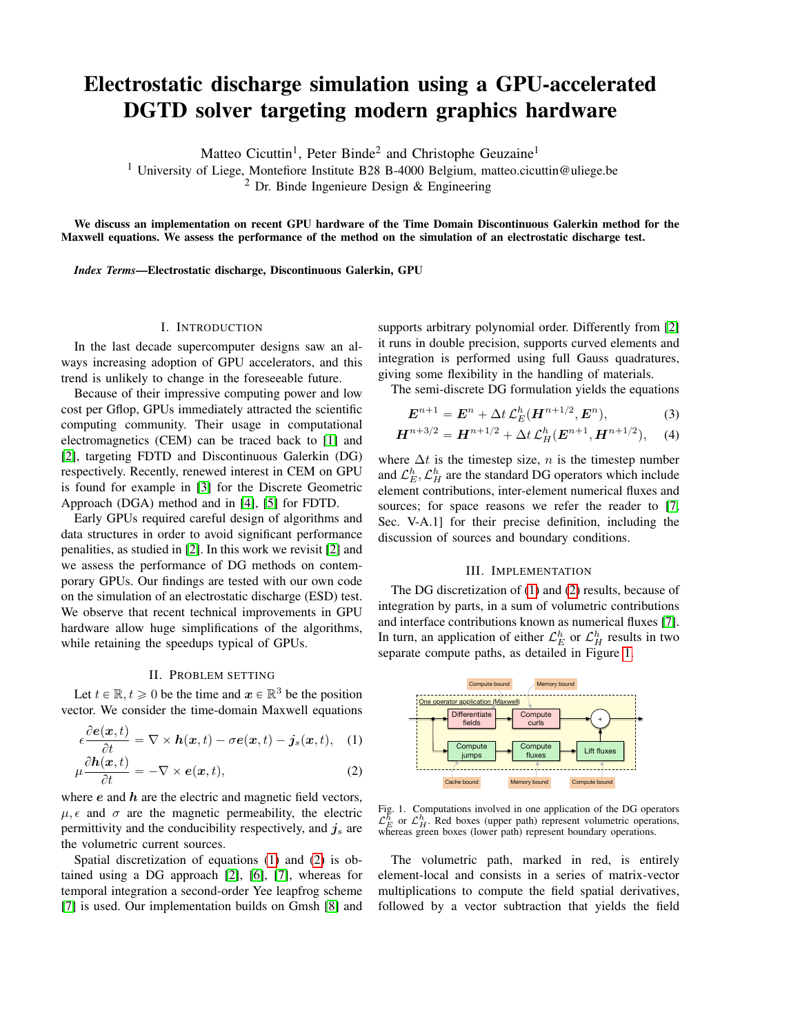# Electrostatic discharge simulation using a GPU-accelerated DGTD solver targeting modern graphics hardware

Matteo Cicuttin<sup>1</sup>, Peter Binde<sup>2</sup> and Christophe Geuzaine<sup>1</sup>

<sup>1</sup> University of Liege, Montefiore Institute B28 B-4000 Belgium, matteo.cicuttin@uliege.be  $<sup>2</sup>$  Dr. Binde Ingenieure Design & Engineering</sup>

We discuss an implementation on recent GPU hardware of the Time Domain Discontinuous Galerkin method for the Maxwell equations. We assess the performance of the method on the simulation of an electrostatic discharge test.

*Index Terms*—Electrostatic discharge, Discontinuous Galerkin, GPU

### I. INTRODUCTION

In the last decade supercomputer designs saw an always increasing adoption of GPU accelerators, and this trend is unlikely to change in the foreseeable future.

Because of their impressive computing power and low cost per Gflop, GPUs immediately attracted the scientific computing community. Their usage in computational electromagnetics (CEM) can be traced back to [\[1\]](#page-1-0) and [\[2\]](#page-1-1), targeting FDTD and Discontinuous Galerkin (DG) respectively. Recently, renewed interest in CEM on GPU is found for example in [\[3\]](#page-1-2) for the Discrete Geometric Approach (DGA) method and in [\[4\]](#page-1-3), [\[5\]](#page-1-4) for FDTD.

Early GPUs required careful design of algorithms and data structures in order to avoid significant performance penalities, as studied in [\[2\]](#page-1-1). In this work we revisit [\[2\]](#page-1-1) and we assess the performance of DG methods on contemporary GPUs. Our findings are tested with our own code on the simulation of an electrostatic discharge (ESD) test. We observe that recent technical improvements in GPU hardware allow huge simplifications of the algorithms, while retaining the speedups typical of GPUs.

## II. PROBLEM SETTING

Let  $t \in \mathbb{R}, t \geq 0$  be the time and  $x \in \mathbb{R}^3$  be the position vector. We consider the time-domain Maxwell equations

$$
\epsilon \frac{\partial e(\boldsymbol{x},t)}{\partial t} = \nabla \times \boldsymbol{h}(\boldsymbol{x},t) - \sigma e(\boldsymbol{x},t) - \boldsymbol{j}_s(\boldsymbol{x},t), \quad (1)
$$

$$
\mu \frac{\partial h(x,t)}{\partial t} = -\nabla \times e(x,t),\tag{2}
$$

where  $e$  and  $h$  are the electric and magnetic field vectors,  $\mu$ ,  $\epsilon$  and  $\sigma$  are the magnetic permeability, the electric permittivity and the conducibility respectively, and  $j_s$  are the volumetric current sources.

Spatial discretization of equations [\(1\)](#page-0-0) and [\(2\)](#page-0-1) is obtained using a DG approach [\[2\]](#page-1-1), [\[6\]](#page-1-5), [\[7\]](#page-1-6), whereas for temporal integration a second-order Yee leapfrog scheme [\[7\]](#page-1-6) is used. Our implementation builds on Gmsh [\[8\]](#page-1-7) and

supports arbitrary polynomial order. Differently from [\[2\]](#page-1-1) it runs in double precision, supports curved elements and integration is performed using full Gauss quadratures, giving some flexibility in the handling of materials.

The semi-discrete DG formulation yields the equations

$$
\boldsymbol{E}^{n+1} = \boldsymbol{E}^n + \Delta t \, \mathcal{L}_E^h(\boldsymbol{H}^{n+1/2}, \boldsymbol{E}^n),\tag{3}
$$

$$
H^{n+3/2} = H^{n+1/2} + \Delta t \mathcal{L}_H^h(E^{n+1}, H^{n+1/2}), \quad (4)
$$

where  $\Delta t$  is the timestep size, n is the timestep number and  $\mathcal{L}_E^h$ ,  $\mathcal{L}_H^h$  are the standard DG operators which include element contributions, inter-element numerical fluxes and sources; for space reasons we refer the reader to [\[7,](#page-1-6) Sec. V-A.1] for their precise definition, including the discussion of sources and boundary conditions.

## III. IMPLEMENTATION

The DG discretization of [\(1\)](#page-0-0) and [\(2\)](#page-0-1) results, because of integration by parts, in a sum of volumetric contributions and interface contributions known as numerical fluxes [\[7\]](#page-1-6). In turn, an application of either  $\mathcal{L}_E^h$  or  $\mathcal{L}_H^h$  results in two separate compute paths, as detailed in Figure [1.](#page-0-2)

<span id="page-0-0"></span>

<span id="page-0-2"></span><span id="page-0-1"></span>Fig. 1. Computations involved in one application of the DG operators  $\mathcal{L}_{B}^{h}$  or  $\mathcal{L}_{H}^{h}$ . Red boxes (upper path) represent volumetric operations, whereas green boxes (lower path) represent boundary operations.

The volumetric path, marked in red, is entirely element-local and consists in a series of matrix-vector multiplications to compute the field spatial derivatives, followed by a vector subtraction that yields the field